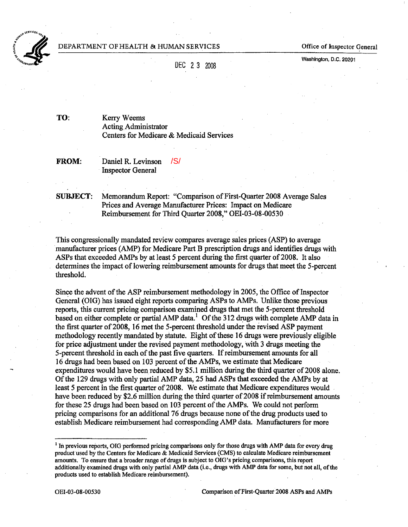

Office of Inspector General

 $\sum_{\text{Weyl} \text{area}}$ 

Washington, D.C. 20201

 $\sim$   $\sim$   $\sim$   $\sim$   $\sim$ 

TO: Kerry Weems Acting Administrator Centers for Medicare & Medicaid Services

FROM: Daniel R. Levinson Inspector General /S/

SUBJECT: Memorandum Report: "Comparison of First-Quarter 2008 Average Sales Prices and Average Manufacturer Prices: Impact on Medicare Reimbursement for Third Quarer 2008," OEI-03-08-00530

This congressiona1ly mandated review compares average sales prices (ASP) to average manufacturer prices (AMP) for Medicare Part B prescription drugs and identifies drugs with ASPs that exceeded AMPs by at least 5 percent during the first quarter of 2008. It also determines the impact of lowerìng reimbursement amounts for drugs that meet the 5-percent threshold.

Since the advent of the ASP reimbursement methodology in 2005, the Office of Inspector General (OIG) has issued eight reports comparing ASPs to AMPs. Unlike those previous reports, this curent pricing comparison examined drngs that met the 5-percent theshold based on either complete or partial AMP data.<sup>1</sup> [Of](#page-0-0) the 312 drugs with complete AMP data in the first quarter of 2008, 16 met the 5-percent threshold under the revised ASP payment methodology recently mandated by statute. Eight of these 16 drugs were previously eligible for price adjustment under the revised payment methodology, with 3 drugs meeting the 5-percent theshold in each of the past five quarers. If reimbursement amounts for all 16 drgs had been based on 103 percent of the AMPs, we estimate that Medicare expenditures would have been reduced by \$5.1 million during the third quarter of 2008 alone. Of the 129 drugs with only partial AMP data, 25 had ASPs that exceeded the AMPs by at least 5 percent in the first quarter of 2008. We estimate that Medicare expenditures would have been reduced by \$2.6 million during the third quarter of 2008 if reimbursement amounts for these 25 drugs had been based on 103 percent of the AMPs. We could not perform pricing comparisons for an additional 76 drugs because none of the drug products used to establish Medicare reimbursement had corresponding AMP data. Manufacturers for more

<span id="page-0-0"></span> $<sup>1</sup>$  In previous reports, OIG performed pricing comparisons only for those drugs with AMP data for every drug</sup> product used by the Centers for Medicare & Medicaid Servces (CMS) to calculate Medicare reimbursement amounts. To ensure that a broader range of drugs is subject to OIG's pricing comparisons, this report additionally examined drugs with only partial AMP data (i.e., drugs with AMP data for some, but not all, of the products used to establish Medicare reimbursement).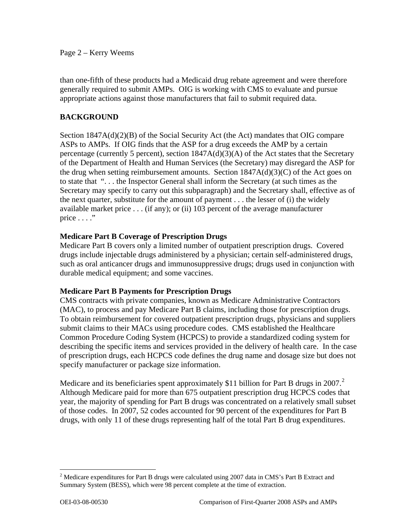## Page 2 – Kerry Weems

than one-fifth of these products had a Medicaid drug rebate agreement and were therefore generally required to submit AMPs. OIG is working with CMS to evaluate and pursue appropriate actions against those manufacturers that fail to submit required data.

## **BACKGROUND**

Section 1847A(d)(2)(B) of the Social Security Act (the Act) mandates that OIG compare ASPs to AMPs. If OIG finds that the ASP for a drug exceeds the AMP by a certain percentage (currently 5 percent), section 1847A(d)(3)(A) of the Act states that the Secretary of the Department of Health and Human Services (the Secretary) may disregard the ASP for the drug when setting reimbursement amounts. Section  $1847A(d)(3)(C)$  of the Act goes on to state that ". . . the Inspector General shall inform the Secretary (at such times as the Secretary may specify to carry out this subparagraph) and the Secretary shall, effective as of the next quarter, substitute for the amount of payment . . . the lesser of (i) the widely available market price . . . (if any); or (ii) 103 percent of the average manufacturer price  $\dots$ ."

## **Medicare Part B Coverage of Prescription Drugs**

Medicare Part B covers only a limited number of outpatient prescription drugs. Covered drugs include injectable drugs administered by a physician; certain self-administered drugs, such as oral anticancer drugs and immunosuppressive drugs; drugs used in conjunction with durable medical equipment; and some vaccines.

## **Medicare Part B Payments for Prescription Drugs**

CMS contracts with private companies, known as Medicare Administrative Contractors (MAC), to process and pay Medicare Part B claims, including those for prescription drugs. To obtain reimbursement for covered outpatient prescription drugs, physicians and suppliers submit claims to their MACs using procedure codes. CMS established the Healthcare Common Procedure Coding System (HCPCS) to provide a standardized coding system for describing the specific items and services provided in the delivery of health care. In the case of prescription drugs, each HCPCS code defines the drug name and dosage size but does not specify manufacturer or package size information.

Medicare and its beneficiaries spent approximately \$11 billion for Part B drugs in [2](#page-1-0)007.<sup>2</sup> Although Medicare paid for more than 675 outpatient prescription drug HCPCS codes that year, the majority of spending for Part B drugs was concentrated on a relatively small subset of those codes. In 2007, 52 codes accounted for 90 percent of the expenditures for Part B drugs, with only 11 of these drugs representing half of the total Part B drug expenditures.

<span id="page-1-0"></span><sup>&</sup>lt;sup>2</sup> Medicare expenditures for Part B drugs were calculated using 2007 data in CMS's Part B Extract and Summary System (BESS), which were 98 percent complete at the time of extraction.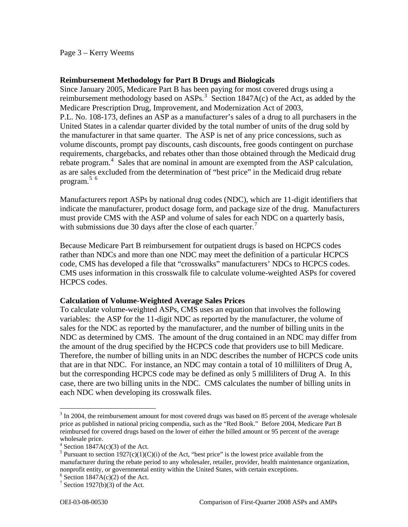Page 3 – Kerry Weems

## **Reimbursement Methodology for Part B Drugs and Biologicals**

Since January 2005, Medicare Part B has been paying for most covered drugs using a reimbursement methodology based on ASPs.<sup>[3](#page-2-0)</sup> Section 1847A(c) of the Act, as added by the Medicare Prescription Drug, Improvement, and Modernization Act of 2003, P.L. No. 108-173, defines an ASP as a manufacturer's sales of a drug to all purchasers in the United States in a calendar quarter divided by the total number of units of the drug sold by the manufacturer in that same quarter. The ASP is net of any price concessions, such as volume discounts, prompt pay discounts, cash discounts, free goods contingent on purchase requirements, chargebacks, and rebates other than those obtained through the Medicaid drug rebate program.<sup>[4](#page-2-1)</sup> Sales that are nominal in amount are exempted from the ASP calculation, as are sales excluded from the determination of "best price" in the Medicaid drug rebate program. $5/6$  $5/6$  $5/6$ 

Manufacturers report ASPs by national drug codes (NDC), which are 11-digit identifiers that indicate the manufacturer, product dosage form, and package size of the drug. Manufacturers must provide CMS with the ASP and volume of sales for each NDC on a quarterly basis, with submissions due 30 days after the close of each quarter.<sup>[7](#page-2-4)</sup>

Because Medicare Part B reimbursement for outpatient drugs is based on HCPCS codes rather than NDCs and more than one NDC may meet the definition of a particular HCPCS code, CMS has developed a file that "crosswalks" manufacturers' NDCs to HCPCS codes. CMS uses information in this crosswalk file to calculate volume-weighted ASPs for covered HCPCS codes.

## **Calculation of Volume-Weighted Average Sales Prices**

To calculate volume-weighted ASPs, CMS uses an equation that involves the following variables: the ASP for the 11-digit NDC as reported by the manufacturer, the volume of sales for the NDC as reported by the manufacturer, and the number of billing units in the NDC as determined by CMS. The amount of the drug contained in an NDC may differ from the amount of the drug specified by the HCPCS code that providers use to bill Medicare. Therefore, the number of billing units in an NDC describes the number of HCPCS code units that are in that NDC. For instance, an NDC may contain a total of 10 milliliters of Drug A, but the corresponding HCPCS code may be defined as only 5 milliliters of Drug A. In this case, there are two billing units in the NDC. CMS calculates the number of billing units in each NDC when developing its crosswalk files.

<span id="page-2-0"></span> $3 \text{ In } 2004$ , the reimbursement amount for most covered drugs was based on 85 percent of the average wholesale price as published in national pricing compendia, such as the "Red Book." Before 2004, Medicare Part B reimbursed for covered drugs based on the lower of either the billed amount or 95 percent of the average wholesale price.

 $4$  Section 1847A(c)(3) of the Act.

<span id="page-2-2"></span><span id="page-2-1"></span><sup>&</sup>lt;sup>5</sup> Pursuant to section 1927(c)(1)(C)(i) of the Act, "best price" is the lowest price available from the manufacturer during the rebate period to any wholesaler, retailer, provider, health maintenance organization, nonprofit entity, or governmental entity within the United States, with certain exceptions.

<span id="page-2-3"></span> $6$  Section 1847A(c)(2) of the Act.

<span id="page-2-4"></span><sup>&</sup>lt;sup>7</sup> Section 1927(b)(3) of the Act.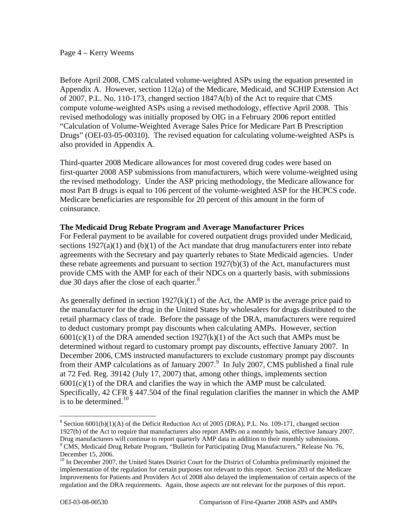### Page 4 – Kerry Weems

Before April 2008, CMS calculated volume-weighted ASPs using the equation presented in Appendix A. However, section 112(a) of the Medicare, Medicaid, and SCHIP Extension Act of 2007, P.L. No. 110-173, changed section 1847A(b) of the Act to require that CMS compute volume-weighted ASPs using a revised methodology, effective April 2008. This revised methodology was initially proposed by OIG in a February 2006 report entitled "Calculation of Volume-Weighted Average Sales Price for Medicare Part B Prescription Drugs" (OEI-03-05-00310). The revised equation for calculating volume-weighted ASPs is also provided in Appendix A.

Third-quarter 2008 Medicare allowances for most covered drug codes were based on first-quarter 2008 ASP submissions from manufacturers, which were volume-weighted using the revised methodology. Under the ASP pricing methodology, the Medicare allowance for most Part B drugs is equal to 106 percent of the volume-weighted ASP for the HCPCS code. Medicare beneficiaries are responsible for 20 percent of this amount in the form of coinsurance.

## **The Medicaid Drug Rebate Program and Average Manufacturer Prices**

For Federal payment to be available for covered outpatient drugs provided under Medicaid, sections  $1927(a)(1)$  and  $(b)(1)$  of the Act mandate that drug manufacturers enter into rebate agreements with the Secretary and pay quarterly rebates to State Medicaid agencies. Under these rebate agreements and pursuant to section 1927(b)(3) of the Act, manufacturers must provide CMS with the AMP for each of their NDCs on a quarterly basis, with submissions due 30 days after the close of each quarter.<sup>[8](#page-3-0)</sup>

As generally defined in section  $1927(k)(1)$  of the Act, the AMP is the average price paid to the manufacturer for the drug in the United States by wholesalers for drugs distributed to the retail pharmacy class of trade. Before the passage of the DRA, manufacturers were required to deduct customary prompt pay discounts when calculating AMPs. However, section  $6001(c)(1)$  of the DRA amended section  $1927(k)(1)$  of the Act such that AMPs must be determined without regard to customary prompt pay discounts, effective January 2007. In December 2006, CMS instructed manufacturers to exclude customary prompt pay discounts from their AMP calculations as of January 2007.<sup>[9](#page-3-1)</sup> In July 2007, CMS published a final rule at 72 Fed. Reg. 39142 (July 17, 2007) that, among other things, implements section  $6001(c)(1)$  of the DRA and clarifies the way in which the AMP must be calculated. Specifically, 42 CFR § 447.504 of the final regulation clarifies the manner in which the AMP is to be determined. $10$ 

<span id="page-3-0"></span> $8$  Section 6001(b)(1)(A) of the Deficit Reduction Act of 2005 (DRA), P.L. No. 109-171, changed section 1927(b) of the Act to require that manufacturers also report AMPs on a monthly basis, effective January 2007. Drug manufacturers will continue to report quarterly AMP data in addition to their monthly submissions.<br><sup>9</sup> CMS, Medicaid Drug Rebate Program, "Bulletin for Participating Drug Manufacturers," Release No. 76,

<span id="page-3-1"></span>December 15, 2006.

<span id="page-3-2"></span><sup>&</sup>lt;sup>10</sup> In December 2007, the United States District Court for the District of Columbia preliminarily enjoined the implementation of the regulation for certain purposes not relevant to this report. Section 203 of the Medicare Improvements for Patients and Providers Act of 2008 also delayed the implementation of certain aspects of the regulation and the DRA requirements. Again, those aspects are not relevant for the purposes of this report.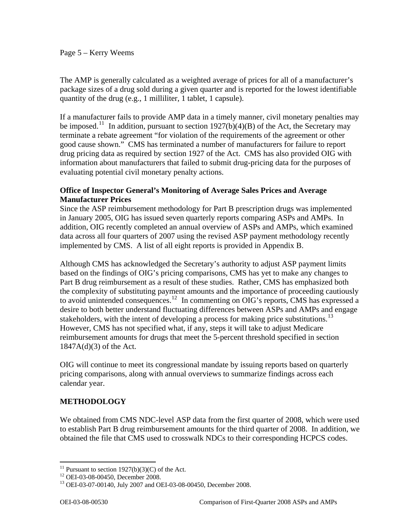## Page 5 – Kerry Weems

The AMP is generally calculated as a weighted average of prices for all of a manufacturer's package sizes of a drug sold during a given quarter and is reported for the lowest identifiable quantity of the drug (e.g., 1 milliliter, 1 tablet, 1 capsule).

If a manufacturer fails to provide AMP data in a timely manner, civil monetary penalties may be imposed.<sup>[11](#page-4-0)</sup> In addition, pursuant to section  $1927(b)(4)(B)$  of the Act, the Secretary may terminate a rebate agreement "for violation of the requirements of the agreement or other good cause shown." CMS has terminated a number of manufacturers for failure to report drug pricing data as required by section 1927 of the Act. CMS has also provided OIG with information about manufacturers that failed to submit drug-pricing data for the purposes of evaluating potential civil monetary penalty actions.

## **Office of Inspector General's Monitoring of Average Sales Prices and Average Manufacturer Prices**

Since the ASP reimbursement methodology for Part B prescription drugs was implemented in January 2005, OIG has issued seven quarterly reports comparing ASPs and AMPs. In addition, OIG recently completed an annual overview of ASPs and AMPs, which examined data across all four quarters of 2007 using the revised ASP payment methodology recently implemented by CMS. A list of all eight reports is provided in Appendix B.

Although CMS has acknowledged the Secretary's authority to adjust ASP payment limits based on the findings of OIG's pricing comparisons, CMS has yet to make any changes to Part B drug reimbursement as a result of these studies. Rather, CMS has emphasized both the complexity of substituting payment amounts and the importance of proceeding cautiously to avoid unintended consequences.<sup>[12](#page-4-1)</sup> In commenting on OIG's reports, CMS has expressed a desire to both better understand fluctuating differences between ASPs and AMPs and engage stakeholders, with the intent of developing a process for making price substitutions.<sup>[13](#page-4-2)</sup> However, CMS has not specified what, if any, steps it will take to adjust Medicare reimbursement amounts for drugs that meet the 5-percent threshold specified in section 1847A(d)(3) of the Act.

OIG will continue to meet its congressional mandate by issuing reports based on quarterly pricing comparisons, along with annual overviews to summarize findings across each calendar year.

## **METHODOLOGY**

We obtained from CMS NDC-level ASP data from the first quarter of 2008, which were used to establish Part B drug reimbursement amounts for the third quarter of 2008. In addition, we obtained the file that CMS used to crosswalk NDCs to their corresponding HCPCS codes.

<sup>&</sup>lt;sup>11</sup> Pursuant to section  $1927(b)(3)(C)$  of the Act.

<span id="page-4-1"></span><span id="page-4-0"></span><sup>12</sup> OEI-03-08-00450, December 2008.

<span id="page-4-2"></span><sup>13</sup> OEI-03-07-00140, July 2007 and OEI-03-08-00450, December 2008.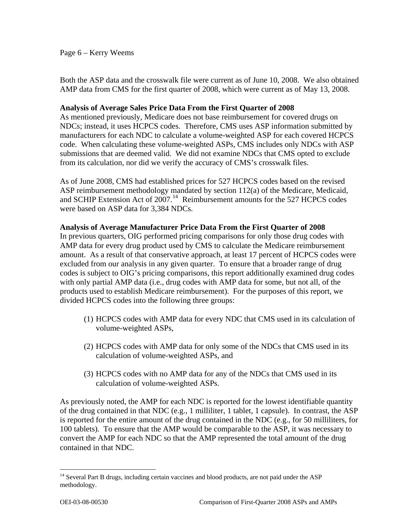## Page 6 – Kerry Weems

Both the ASP data and the crosswalk file were current as of June 10, 2008. We also obtained AMP data from CMS for the first quarter of 2008, which were current as of May 13, 2008.

## **Analysis of Average Sales Price Data From the First Quarter of 2008**

As mentioned previously, Medicare does not base reimbursement for covered drugs on NDCs; instead, it uses HCPCS codes. Therefore, CMS uses ASP information submitted by manufacturers for each NDC to calculate a volume-weighted ASP for each covered HCPCS code. When calculating these volume-weighted ASPs, CMS includes only NDCs with ASP submissions that are deemed valid. We did not examine NDCs that CMS opted to exclude from its calculation, nor did we verify the accuracy of CMS's crosswalk files.

As of June 2008, CMS had established prices for 527 HCPCS codes based on the revised ASP reimbursement methodology mandated by section 112(a) of the Medicare, Medicaid, and SCHIP Extension Act of  $2007<sup>14</sup>$  $2007<sup>14</sup>$  $2007<sup>14</sup>$  Reimbursement amounts for the 527 HCPCS codes were based on ASP data for 3,384 NDCs.

## **Analysis of Average Manufacturer Price Data From the First Quarter of 2008**

In previous quarters, OIG performed pricing comparisons for only those drug codes with AMP data for every drug product used by CMS to calculate the Medicare reimbursement amount. As a result of that conservative approach, at least 17 percent of HCPCS codes were excluded from our analysis in any given quarter. To ensure that a broader range of drug codes is subject to OIG's pricing comparisons, this report additionally examined drug codes with only partial AMP data (i.e., drug codes with AMP data for some, but not all, of the products used to establish Medicare reimbursement). For the purposes of this report, we divided HCPCS codes into the following three groups:

- (1) HCPCS codes with AMP data for every NDC that CMS used in its calculation of volume-weighted ASPs,
- (2) HCPCS codes with AMP data for only some of the NDCs that CMS used in its calculation of volume-weighted ASPs, and
- (3) HCPCS codes with no AMP data for any of the NDCs that CMS used in its calculation of volume-weighted ASPs.

As previously noted, the AMP for each NDC is reported for the lowest identifiable quantity of the drug contained in that NDC (e.g., 1 milliliter, 1 tablet, 1 capsule). In contrast, the ASP is reported for the entire amount of the drug contained in the NDC (e.g., for 50 milliliters, for 100 tablets). To ensure that the AMP would be comparable to the ASP, it was necessary to convert the AMP for each NDC so that the AMP represented the total amount of the drug contained in that NDC.

<span id="page-5-0"></span><sup>&</sup>lt;sup>14</sup> Several Part B drugs, including certain vaccines and blood products, are not paid under the ASP methodology.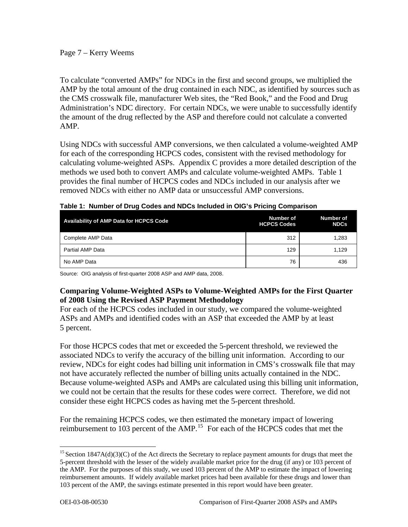Page 7 – Kerry Weems

To calculate "converted AMPs" for NDCs in the first and second groups, we multiplied the AMP by the total amount of the drug contained in each NDC, as identified by sources such as the CMS crosswalk file, manufacturer Web sites, the "Red Book," and the Food and Drug Administration's NDC directory. For certain NDCs, we were unable to successfully identify the amount of the drug reflected by the ASP and therefore could not calculate a converted AMP.

Using NDCs with successful AMP conversions, we then calculated a volume-weighted AMP for each of the corresponding HCPCS codes, consistent with the revised methodology for calculating volume-weighted ASPs. Appendix C provides a more detailed description of the methods we used both to convert AMPs and calculate volume-weighted AMPs. Table 1 provides the final number of HCPCS codes and NDCs included in our analysis after we removed NDCs with either no AMP data or unsuccessful AMP conversions.

| <b>Availability of AMP Data for HCPCS Code</b> | Number of<br><b>HCPCS Codes</b> | Number of<br><b>NDCs</b> |
|------------------------------------------------|---------------------------------|--------------------------|
| Complete AMP Data                              | 312                             | 1,283                    |
| Partial AMP Data                               | 129                             | 1,129                    |
| No AMP Data                                    | 76                              | 436                      |

|  |  | Table 1: Number of Drug Codes and NDCs Included in OIG's Pricing Comparison |
|--|--|-----------------------------------------------------------------------------|
|  |  |                                                                             |

Source: OIG analysis of first-quarter 2008 ASP and AMP data, 2008.

# **Comparing Volume-Weighted ASPs to Volume-Weighted AMPs for the First Quarter of 2008 Using the Revised ASP Payment Methodology**

For each of the HCPCS codes included in our study, we compared the volume-weighted ASPs and AMPs and identified codes with an ASP that exceeded the AMP by at least 5 percent.

For those HCPCS codes that met or exceeded the 5-percent threshold, we reviewed the associated NDCs to verify the accuracy of the billing unit information. According to our review, NDCs for eight codes had billing unit information in CMS's crosswalk file that may not have accurately reflected the number of billing units actually contained in the NDC. Because volume-weighted ASPs and AMPs are calculated using this billing unit information, we could not be certain that the results for these codes were correct. Therefore, we did not consider these eight HCPCS codes as having met the 5-percent threshold.

For the remaining HCPCS codes, we then estimated the monetary impact of lowering reimbursement to 103 percent of the AMP.[15](#page-6-0) For each of the HCPCS codes that met the

<span id="page-6-0"></span> $\overline{a}$  $15$  Section 1847A(d)(3)(C) of the Act directs the Secretary to replace payment amounts for drugs that meet the 5-percent threshold with the lesser of the widely available market price for the drug (if any) or 103 percent of the AMP. For the purposes of this study, we used 103 percent of the AMP to estimate the impact of lowering reimbursement amounts. If widely available market prices had been available for these drugs and lower than 103 percent of the AMP, the savings estimate presented in this report would have been greater.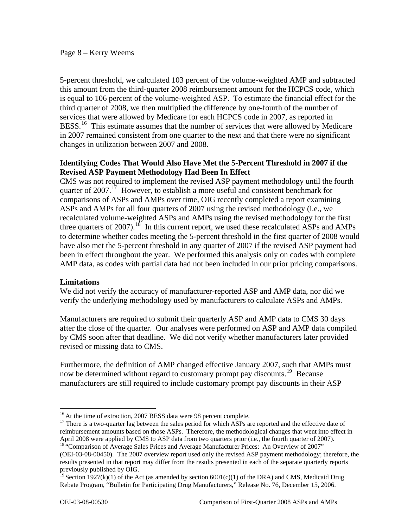### Page 8 – Kerry Weems

in 2007 remained consistent from one quarter to the next and that there were no significant 5-percent threshold, we calculated 103 percent of the volume-weighted AMP and subtracted this amount from the third-quarter 2008 reimbursement amount for the HCPCS code, which is equal to 106 percent of the volume-weighted ASP. To estimate the financial effect for the third quarter of 2008, we then multiplied the difference by one-fourth of the number of services that were allowed by Medicare for each HCPCS code in 2007, as reported in BESS.<sup>[16](#page-7-0)</sup> This estimate assumes that the number of services that were allowed by Medicare changes in utilization between 2007 and 2008.

## **Identifying Codes That Would Also Have Met the 5-Percent Threshold in 2007 if the Revised ASP Payment Methodology Had Been In Effect**

CMS was not required to implement the revised ASP payment methodology until the fourth quarter of  $2007<sup>17</sup>$  $2007<sup>17</sup>$  $2007<sup>17</sup>$  However, to establish a more useful and consistent benchmark for comparisons of ASPs and AMPs over time, OIG recently completed a report examining ASPs and AMPs for all four quarters of 2007 using the revised methodology (i.e., we recalculated volume-weighted ASPs and AMPs using the revised methodology for the first three quarters of 2007).<sup>[18](#page-7-2)</sup> In this current report, we used these recalculated ASPs and AMPs to determine whether codes meeting the 5-percent threshold in the first quarter of 2008 would have also met the 5-percent threshold in any quarter of 2007 if the revised ASP payment had been in effect throughout the year. We performed this analysis only on codes with complete AMP data, as codes with partial data had not been included in our prior pricing comparisons.

## **Limitations**

We did not verify the accuracy of manufacturer-reported ASP and AMP data, nor did we verify the underlying methodology used by manufacturers to calculate ASPs and AMPs.

Manufacturers are required to submit their quarterly ASP and AMP data to CMS 30 days after the close of the quarter. Our analyses were performed on ASP and AMP data compiled by CMS soon after that deadline. We did not verify whether manufacturers later provided revised or missing data to CMS.

Furthermore, the definition of AMP changed effective January 2007, such that AMPs must now be determined without regard to customary prompt pay discounts.<sup>[19](#page-7-3)</sup> Because manufacturers are still required to include customary prompt pay discounts in their ASP

<span id="page-7-1"></span><span id="page-7-0"></span><sup>&</sup>lt;sup>16</sup> At the time of extraction, 2007 BESS data were 98 percent complete.<br><sup>17</sup> There is a two-quarter lag between the sales period for which ASPs are reported and the effective date of reimbursement amounts based on those ASPs. Therefore, the methodological changes that went into effect in April 2008 were applied by CMS to ASP data from two quarters prior (i.e., the fourth quarter of 2007). <sup>18 "</sup>Comparison of Average Sales Prices and Average Manufacturer Prices: An Overview of 2007"

<span id="page-7-2"></span><sup>(</sup>OEI-03-08-00450). The 2007 overview report used only the revised ASP payment methodology; therefore, the results presented in that report may differ from the results presented in each of the separate quarterly reports previously published by OIG.

<span id="page-7-3"></span><sup>&</sup>lt;sup>19</sup> Section 1927(k)(1) of the Act (as amended by section 6001(c)(1) of the DRA) and CMS, Medicaid Drug Rebate Program, "Bulletin for Participating Drug Manufacturers," Release No. 76, December 15, 2006.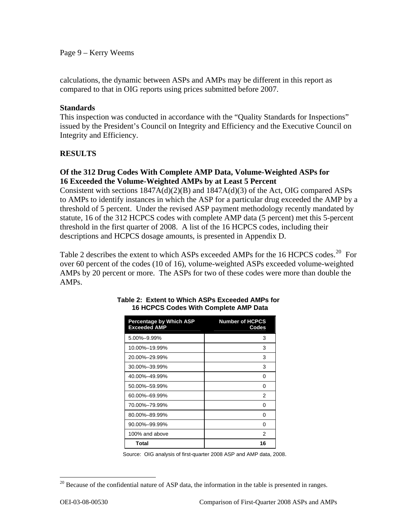Page 9 – Kerry Weems

calculations, the dynamic between ASPs and AMPs may be different in this report as compared to that in OIG reports using prices submitted before 2007.

## **Standards**

This inspection was conducted in accordance with the "Quality Standards for Inspections" issued by the President's Council on Integrity and Efficiency and the Executive Council on Integrity and Efficiency.

## **RESULTS**

## **Of the 312 Drug Codes With Complete AMP Data, Volume-Weighted ASPs for 16 Exceeded the Volume-Weighted AMPs by at Least 5 Percent**

Consistent with sections 1847A(d)(2)(B) and 1847A(d)(3) of the Act, OIG compared ASPs to AMPs to identify instances in which the ASP for a particular drug exceeded the AMP by a threshold of 5 percent. Under the revised ASP payment methodology recently mandated by statute, 16 of the 312 HCPCS codes with complete AMP data (5 percent) met this 5-percent threshold in the first quarter of 2008. A list of the 16 HCPCS codes, including their descriptions and HCPCS dosage amounts, is presented in Appendix D.

Table 2 describes the extent to which ASPs exceeded AMPs for the 16 HCPCS codes.<sup>[20](#page-8-0)</sup> For over 60 percent of the codes (10 of 16), volume-weighted ASPs exceeded volume-weighted AMPs by 20 percent or more. The ASPs for two of these codes were more than double the AMPs.

| <b>Percentage by Which ASP</b><br><b>Exceeded AMP</b> | <b>Number of HCPCS</b><br>Codes |
|-------------------------------------------------------|---------------------------------|
| 5.00%-9.99%                                           | 3                               |
| 10.00%-19.99%                                         | 3                               |
| 20.00%-29.99%                                         | 3                               |
| 30.00%-39.99%                                         | 3                               |
| 40.00%-49.99%                                         | 0                               |
| 50.00%-59.99%                                         | 0                               |
| 60.00%-69.99%                                         | 2                               |
| 70.00%-79.99%                                         | 0                               |
| 80.00%-89.99%                                         | 0                               |
| 90.00%-99.99%                                         | ŋ                               |
| 100% and above                                        | 2                               |
| Total                                                 | 16                              |

#### **Table 2: Extent to Which ASPs Exceeded AMPs for 16 HCPCS Codes With Complete AMP Data**

Source: OIG analysis of first-quarter 2008 ASP and AMP data, 2008.

<span id="page-8-0"></span> $20$  Because of the confidential nature of ASP data, the information in the table is presented in ranges.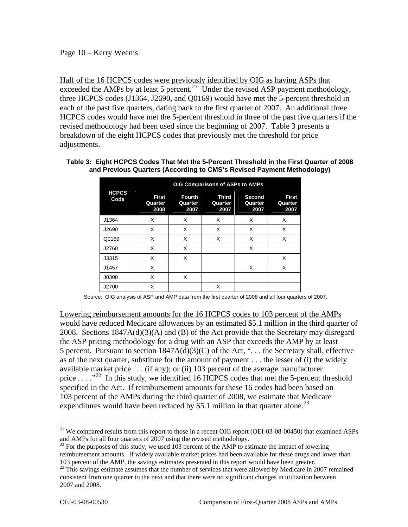Half of the 16 HCPCS codes were previously identified by OIG as having ASPs that exceeded the AMPs by at least 5 percent.<sup>[21](#page-9-0)</sup> Under the revised ASP payment methodology, three HCPCS codes (J1364, J2690, and Q0169) would have met the 5-percent threshold in each of the past five quarters, dating back to the first quarter of 2007. An additional three HCPCS codes would have met the 5-percent threshold in three of the past five quarters if the revised methodology had been used since the beginning of 2007. Table 3 presents a breakdown of the eight HCPCS codes that previously met the threshold for price adjustments.

#### **Table 3: Eight HCPCS Codes That Met the 5-Percent Threshold in the First Quarter of 2008 and Previous Quarters (According to CMS's Revised Payment Methodology)**

|                      | OIG Comparisons of ASPs to AMPs |                                  |                                 |                           |                                 |
|----------------------|---------------------------------|----------------------------------|---------------------------------|---------------------------|---------------------------------|
| <b>HCPCS</b><br>Code | <b>First</b><br>Quarter<br>2008 | <b>Fourth</b><br>Quarter<br>2007 | <b>Third</b><br>Quarter<br>2007 | Second<br>Quarter<br>2007 | <b>First</b><br>Quarter<br>2007 |
| J1364                | X                               | X                                | X                               | X                         | X                               |
| J2690                | X                               | X                                | X                               | X                         | X                               |
| Q0169                | X                               | X                                | X                               | X                         | X                               |
| J2760                | X                               | X                                |                                 | X                         |                                 |
| J3315                | X                               | X                                |                                 |                           | X                               |
| J1457                | X                               |                                  |                                 | X                         | X                               |
| J0300                | X                               | X                                |                                 |                           |                                 |
| J2700                | X                               |                                  | X                               |                           |                                 |

Source: OIG analysis of ASP and AMP data from the first quarter of 2008 and all four quarters of 2007.

Lowering reimbursement amounts for the 16 HCPCS codes to 103 percent of the AMPs would have reduced Medicare allowances by an estimated \$5.1 million in the third quarter of 2008. Sections 1847A(d)(3)(A) and (B) of the Act provide that the Secretary may disregard the ASP pricing methodology for a drug with an ASP that exceeds the AMP by at least 5 percent. Pursuant to section 1847A(d)(3)(C) of the Act, ". . . the Secretary shall, effective as of the next quarter, substitute for the amount of payment . . . the lesser of (i) the widely available market price . . . (if any); or (ii) 103 percent of the average manufacturer price  $\dots$  ."<sup>[22](#page-9-1)</sup> In this study, we identified 16 HCPCS codes that met the 5-percent threshold specified in the Act. If reimbursement amounts for these 16 codes had been based on 103 percent of the AMPs during the third quarter of 2008, we estimate that Medicare expenditures would have been reduced by \$5.1 million in that quarter alone.<sup>[23](#page-9-2)</sup>

<span id="page-9-0"></span><sup>&</sup>lt;sup>21</sup> We compared results from this report to those in a recent OIG report (OEI-03-08-00450) that examined ASPs and AMPs for all four quarters of 2007 using the revised methodology.

<span id="page-9-1"></span> $^{22}$  For the purposes of this study, we used 103 percent of the AMP to estimate the impact of lowering reimbursement amounts. If widely available market prices had been available for these drugs and lower than 103 percent of the AMP, the savings estimates presented in this report would have been greater.

<span id="page-9-2"></span><sup>&</sup>lt;sup>23</sup> This savings estimate assumes that the number of services that were allowed by Medicare in 2007 remained consistent from one quarter to the next and that there were no significant changes in utilization between 2007 and 2008.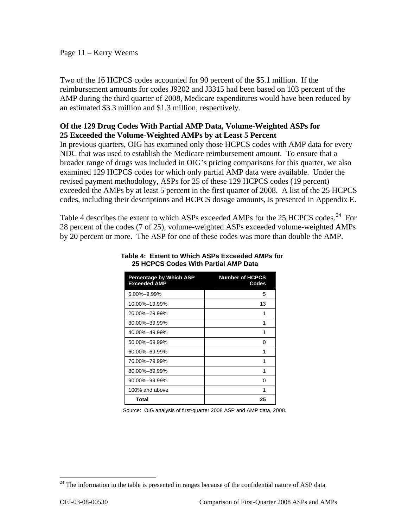## Page 11 – Kerry Weems

Two of the 16 HCPCS codes accounted for 90 percent of the \$5.1 million. If the reimbursement amounts for codes J9202 and J3315 had been based on 103 percent of the AMP during the third quarter of 2008, Medicare expenditures would have been reduced by an estimated \$3.3 million and \$1.3 million, respectively.

## **Of the 129 Drug Codes With Partial AMP Data, Volume-Weighted ASPs for 25 Exceeded the Volume-Weighted AMPs by at Least 5 Percent**

In previous quarters, OIG has examined only those HCPCS codes with AMP data for every NDC that was used to establish the Medicare reimbursement amount. To ensure that a broader range of drugs was included in OIG's pricing comparisons for this quarter, we also examined 129 HCPCS codes for which only partial AMP data were available. Under the revised payment methodology, ASPs for 25 of these 129 HCPCS codes (19 percent) exceeded the AMPs by at least 5 percent in the first quarter of 2008. A list of the 25 HCPCS codes, including their descriptions and HCPCS dosage amounts, is presented in Appendix E.

Table 4 describes the extent to which ASPs exceeded AMPs for the 25 HCPCS codes.<sup>[24](#page-10-0)</sup> For 28 percent of the codes (7 of 25), volume-weighted ASPs exceeded volume-weighted AMPs by 20 percent or more. The ASP for one of these codes was more than double the AMP.

| <b>Percentage by Which ASP</b><br><b>Exceeded AMP</b> | <b>Number of HCPCS</b><br>Codes |
|-------------------------------------------------------|---------------------------------|
| 5.00%-9.99%                                           | 5                               |
| 10.00%-19.99%                                         | 13                              |
| 20.00%-29.99%                                         | 1                               |
| 30.00%-39.99%                                         | 1                               |
| 40.00%-49.99%                                         | 1                               |
| 50.00%-59.99%                                         | O                               |
| 60.00%-69.99%                                         | 1                               |
| 70.00%-79.99%                                         | 1                               |
| 80.00%-89.99%                                         | 1                               |
| 90.00%-99.99%                                         | O                               |
| 100% and above                                        | 1                               |
| Total                                                 | 25                              |

#### **Table 4: Extent to Which ASPs Exceeded AMPs for 25 HCPCS Codes With Partial AMP Data**

Source: OIG analysis of first-quarter 2008 ASP and AMP data, 2008.

<span id="page-10-0"></span> $24$  The information in the table is presented in ranges because of the confidential nature of ASP data.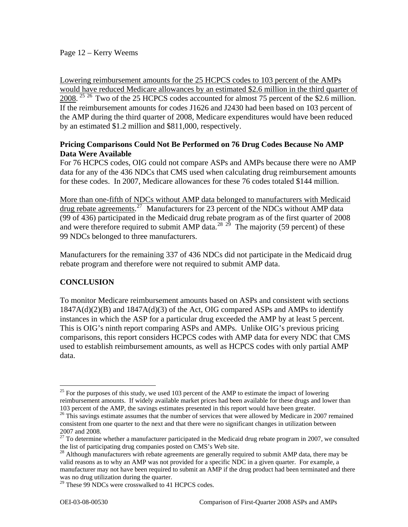Lowering reimbursement amounts for the 25 HCPCS codes to 103 percent of the AMPs would have reduced Medicare allowances by an estimated \$2.6 million in the third quarter of 2008.<sup>[25](#page-11-0) [26](#page-11-1)</sup> Two of the 25 HCPCS codes accounted for almost 75 percent of the \$2.6 million. If the reimbursement amounts for codes J1626 and J2430 had been based on 103 percent of the AMP during the third quarter of 2008, Medicare expenditures would have been reduced by an estimated \$1.2 million and \$811,000, respectively.

## **Pricing Comparisons Could Not Be Performed on 76 Drug Codes Because No AMP Data Were Available**

For 76 HCPCS codes, OIG could not compare ASPs and AMPs because there were no AMP data for any of the 436 NDCs that CMS used when calculating drug reimbursement amounts for these codes. In 2007, Medicare allowances for these 76 codes totaled \$144 million.

More than one-fifth of NDCs without AMP data belonged to manufacturers with Medicaid drug rebate agreements.<sup>[27](#page-11-2)</sup> Manufacturers for 23 percent of the NDCs without AMP data (99 of 436) participated in the Medicaid drug rebate program as of the first quarter of 2008 and were therefore required to submit AMP data.<sup>[28](#page-11-3) [29](#page-11-4)</sup> The majority (59 percent) of these 99 NDCs belonged to three manufacturers.

Manufacturers for the remaining 337 of 436 NDCs did not participate in the Medicaid drug rebate program and therefore were not required to submit AMP data.

# **CONCLUSION**

To monitor Medicare reimbursement amounts based on ASPs and consistent with sections  $1847A(d)(2)(B)$  and  $1847A(d)(3)$  of the Act, OIG compared ASPs and AMPs to identify instances in which the ASP for a particular drug exceeded the AMP by at least 5 percent. This is OIG's ninth report comparing ASPs and AMPs. Unlike OIG's previous pricing comparisons, this report considers HCPCS codes with AMP data for every NDC that CMS used to establish reimbursement amounts, as well as HCPCS codes with only partial AMP data.

<span id="page-11-0"></span><sup>&</sup>lt;sup>25</sup> For the purposes of this study, we used 103 percent of the AMP to estimate the impact of lowering reimbursement amounts. If widely available market prices had been available for these drugs and lower than 103 percent of the AMP, the savings estimates presented in this report would have been greater.

<span id="page-11-1"></span><sup>&</sup>lt;sup>26</sup> This savings estimate assumes that the number of services that were allowed by Medicare in 2007 remained consistent from one quarter to the next and that there were no significant changes in utilization between 2007 and 2008.

<span id="page-11-2"></span> $27$  To determine whether a manufacturer participated in the Medicaid drug rebate program in 2007, we consulted the list of participating drug companies posted on CMS's Web site.

<span id="page-11-3"></span><sup>&</sup>lt;sup>28</sup> Although manufacturers with rebate agreements are generally required to submit AMP data, there may be valid reasons as to why an AMP was not provided for a specific NDC in a given quarter. For example, a manufacturer may not have been required to submit an AMP if the drug product had been terminated and there was no drug utilization during the quarter.

<span id="page-11-4"></span><sup>&</sup>lt;sup>29</sup> These 99 NDCs were crosswalked to 41 HCPCS codes.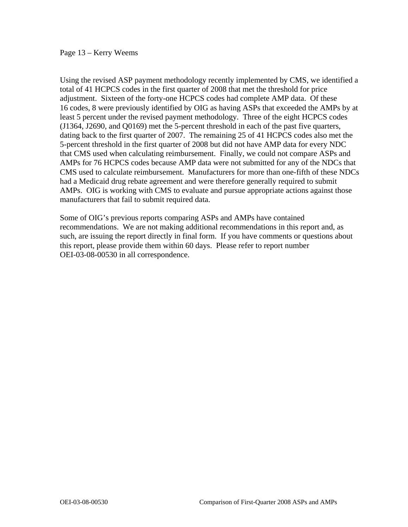Page 13 – Kerry Weems

Using the revised ASP payment methodology recently implemented by CMS, we identified a total of 41 HCPCS codes in the first quarter of 2008 that met the threshold for price adjustment. Sixteen of the forty-one HCPCS codes had complete AMP data. Of these 16 codes, 8 were previously identified by OIG as having ASPs that exceeded the AMPs by at least 5 percent under the revised payment methodology. Three of the eight HCPCS codes (J1364, J2690, and Q0169) met the 5-percent threshold in each of the past five quarters, dating back to the first quarter of 2007. The remaining 25 of 41 HCPCS codes also met the 5-percent threshold in the first quarter of 2008 but did not have AMP data for every NDC that CMS used when calculating reimbursement. Finally, we could not compare ASPs and AMPs for 76 HCPCS codes because AMP data were not submitted for any of the NDCs that CMS used to calculate reimbursement. Manufacturers for more than one-fifth of these NDCs had a Medicaid drug rebate agreement and were therefore generally required to submit AMPs. OIG is working with CMS to evaluate and pursue appropriate actions against those manufacturers that fail to submit required data.

Some of OIG's previous reports comparing ASPs and AMPs have contained recommendations. We are not making additional recommendations in this report and, as such, are issuing the report directly in final form. If you have comments or questions about this report, please provide them within 60 days. Please refer to report number OEI-03-08-00530 in all correspondence.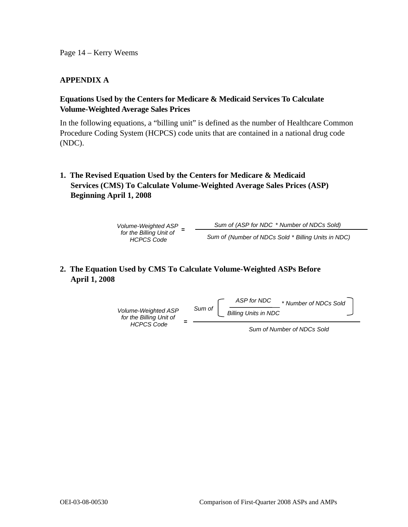Page 14 – Kerry Weems

## **APPENDIX A**

## **Equations Used by the Centers for Medicare & Medicaid Services To Calculate Volume-Weighted Average Sales Prices**

In the following equations, a "billing unit" is defined as the number of Healthcare Common Procedure Coding System (HCPCS) code units that are contained in a national drug code (NDC).

**1. The Revised Equation Used by the Centers for Medicare & Medicaid Services (CMS) To Calculate Volume-Weighted Average Sales Prices (ASP) Beginning April 1, 2008** 

> *Volume-Weighted ASP for the Billing Unit of*  **=**  *HCPCS Code Sum of(ASP for NDC* \* *Number of NDCs Sold) Sum of (Number of NDCs Sold* \* *Billing Units in NDC)*

# **2. The Equation Used by CMS To Calculate Volume-Weighted ASPs Before April 1, 2008**



*Sum of Number of NDCs Sold*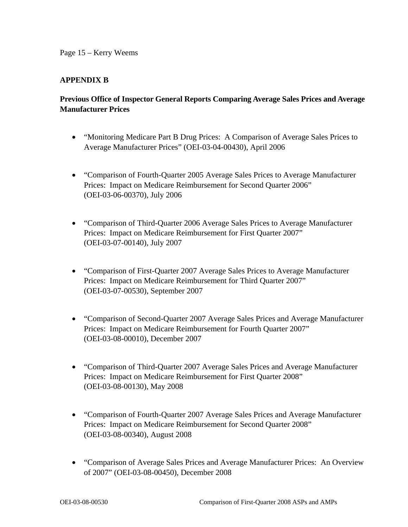## **APPENDIX B**

# **Previous Office of Inspector General Reports Comparing Average Sales Prices and Average Manufacturer Prices**

- "Monitoring Medicare Part B Drug Prices: A Comparison of Average Sales Prices to Average Manufacturer Prices" (OEI-03-04-00430), April 2006
- "Comparison of Fourth-Quarter 2005 Average Sales Prices to Average Manufacturer Prices: Impact on Medicare Reimbursement for Second Quarter 2006" (OEI-03-06-00370), July 2006
- "Comparison of Third-Quarter 2006 Average Sales Prices to Average Manufacturer Prices: Impact on Medicare Reimbursement for First Quarter 2007" (OEI-03-07-00140), July 2007
- "Comparison of First-Quarter 2007 Average Sales Prices to Average Manufacturer Prices: Impact on Medicare Reimbursement for Third Quarter 2007" (OEI-03-07-00530), September 2007
- "Comparison of Second-Quarter 2007 Average Sales Prices and Average Manufacturer Prices: Impact on Medicare Reimbursement for Fourth Quarter 2007" (OEI-03-08-00010), December 2007
- "Comparison of Third-Quarter 2007 Average Sales Prices and Average Manufacturer Prices: Impact on Medicare Reimbursement for First Quarter 2008" (OEI-03-08-00130), May 2008
- "Comparison of Fourth-Quarter 2007 Average Sales Prices and Average Manufacturer Prices: Impact on Medicare Reimbursement for Second Quarter 2008" (OEI-03-08-00340), August 2008
- "Comparison of Average Sales Prices and Average Manufacturer Prices: An Overview of 2007" (OEI-03-08-00450), December 2008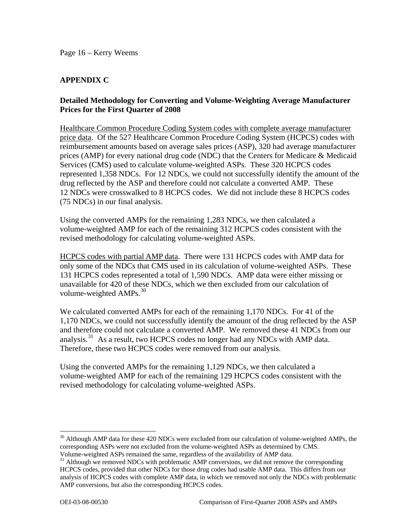# **APPENDIX C**

## **Detailed Methodology for Converting and Volume-Weighting Average Manufacturer Prices for the First Quarter of 2008**

Healthcare Common Procedure Coding System codes with complete average manufacturer price data. Of the 527 Healthcare Common Procedure Coding System (HCPCS) codes with reimbursement amounts based on average sales prices (ASP), 320 had average manufacturer prices (AMP) for every national drug code (NDC) that the Centers for Medicare & Medicaid Services (CMS) used to calculate volume-weighted ASPs. These 320 HCPCS codes represented 1,358 NDCs. For 12 NDCs, we could not successfully identify the amount of the drug reflected by the ASP and therefore could not calculate a converted AMP. These 12 NDCs were crosswalked to 8 HCPCS codes. We did not include these 8 HCPCS codes (75 NDCs) in our final analysis.

Using the converted AMPs for the remaining 1,283 NDCs, we then calculated a volume-weighted AMP for each of the remaining 312 HCPCS codes consistent with the revised methodology for calculating volume-weighted ASPs.

HCPCS codes with partial AMP data. There were 131 HCPCS codes with AMP data for only some of the NDCs that CMS used in its calculation of volume-weighted ASPs. These 131 HCPCS codes represented a total of 1,590 NDCs. AMP data were either missing or unavailable for 420 of these NDCs, which we then excluded from our calculation of volume-weighted  $AMPs.<sup>30</sup>$  $AMPs.<sup>30</sup>$  $AMPs.<sup>30</sup>$ 

We calculated converted AMPs for each of the remaining 1,170 NDCs. For 41 of the 1,170 NDCs, we could not successfully identify the amount of the drug reflected by the ASP and therefore could not calculate a converted AMP. We removed these 41 NDCs from our analysis.<sup>[31](#page-15-1)</sup> As a result, two HCPCS codes no longer had any NDCs with AMP data. Therefore, these two HCPCS codes were removed from our analysis.

Using the converted AMPs for the remaining 1,129 NDCs, we then calculated a volume-weighted AMP for each of the remaining 129 HCPCS codes consistent with the revised methodology for calculating volume-weighted ASPs.

<span id="page-15-0"></span> $30$  Although AMP data for these 420 NDCs were excluded from our calculation of volume-weighted AMPs, the corresponding ASPs were not excluded from the volume-weighted ASPs as determined by CMS.

Volume-weighted ASPs remained the same, regardless of the availability of AMP data.

<span id="page-15-1"></span><sup>&</sup>lt;sup>31</sup> Although we removed NDCs with problematic AMP conversions, we did not remove the corresponding HCPCS codes, provided that other NDCs for those drug codes had usable AMP data. This differs from our analysis of HCPCS codes with complete AMP data, in which we removed not only the NDCs with problematic AMP conversions, but also the corresponding HCPCS codes.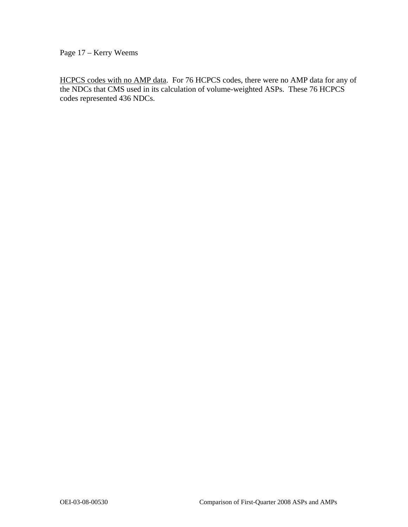Page 17 – Kerry Weems

HCPCS codes with no AMP data. For 76 HCPCS codes, there were no AMP data for any of the NDCs that CMS used in its calculation of volume-weighted ASPs. These 76 HCPCS codes represented 436 NDCs.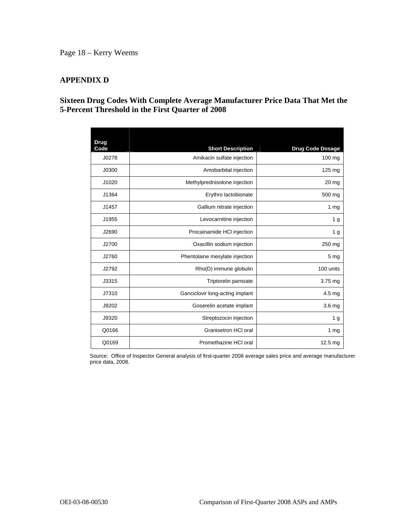## Page 18 – Kerry Weems

## **APPENDIX D**

## **Sixteen Drug Codes With Complete Average Manufacturer Price Data That Met the 5-Percent Threshold in the First Quarter of 2008**

| <b>Drug</b><br>Code | <b>Short Description</b>        | <b>Drug Code Dosage</b> |
|---------------------|---------------------------------|-------------------------|
| J0278               | Amikacin sulfate injection      | 100 mg                  |
| J0300               | Amobarbital injection           | 125 mg                  |
| J1020               | Methylprednisolone injection    | 20 mg                   |
| J1364               | Erythro lactobionate            | 500 mg                  |
| J1457               | Gallium nitrate injection       | 1 <sub>mg</sub>         |
| J1955               | Levocarnitine injection         | 1 <sub>g</sub>          |
| J2690               | Procainamide HCI injection      | 1 <sub>g</sub>          |
| J2700               | Oxacillin sodium injection      | 250 mg                  |
| J2760               | Phentolaine mesylate injection  | 5 <sub>mg</sub>         |
| J2792               | Rho(D) immune globulin          | 100 units               |
| J3315               | Triptorelin pamoate             | 3.75 mg                 |
| J7310               | Ganciclovir long-acting implant | 4.5 mg                  |
| J9202               | Goserelin acetate implant       | 3.6 <sub>mg</sub>       |
| J9320               | Streptozocin injection          | 1 <sub>g</sub>          |
| Q0166               | Granisetron HCI oral            | 1 <sub>mg</sub>         |
| Q0169               | Promethazine HCI oral           | 12.5 mg                 |

Source: Office of Inspector General analysis of first-quarter 2008 average sales price and average manufacturer price data, 2008.